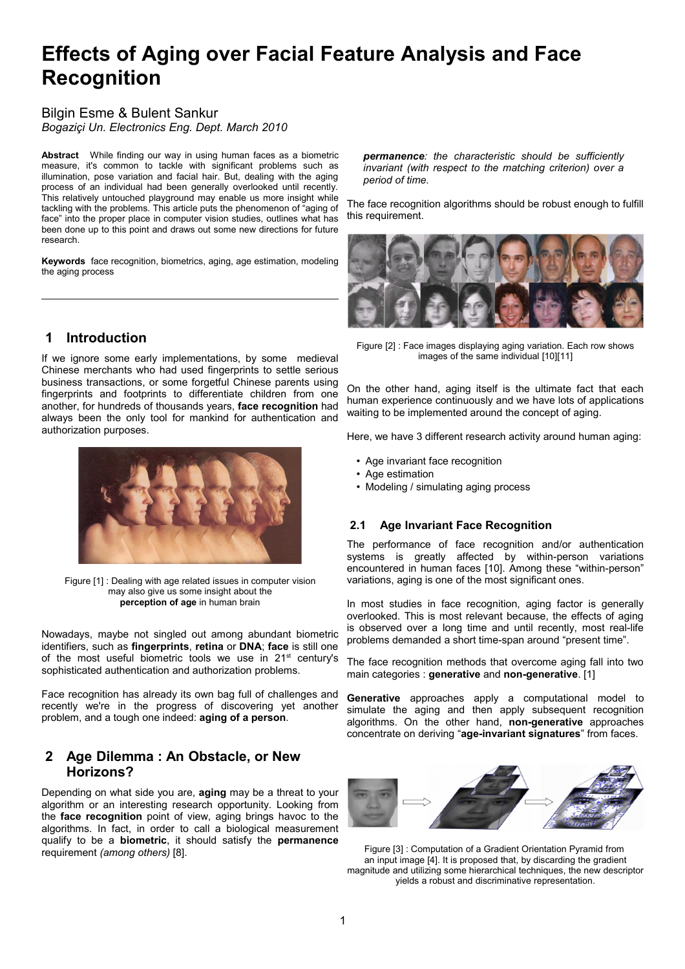# **Effects of Aging over Facial Feature Analysis and Face Recognition**

### Bilgin Esme & Bulent Sankur *Bogaziçi Un. Electronics Eng. Dept. March 2010*

**Abstract** While finding our way in using human faces as a biometric measure, it's common to tackle with significant problems such as illumination, pose variation and facial hair. But, dealing with the aging process of an individual had been generally overlooked until recently. This relatively untouched playground may enable us more insight while tackling with the problems. This article puts the phenomenon of "aging of face" into the proper place in computer vision studies, outlines what has been done up to this point and draws out some new directions for future research.

**Keywords** face recognition, biometrics, aging, age estimation, modeling the aging process

# **1 Introduction**

If we ignore some early implementations, by some medieval Chinese merchants who had used fingerprints to settle serious business transactions, or some forgetful Chinese parents using fingerprints and footprints to differentiate children from one another, for hundreds of thousands years, **face recognition** had always been the only tool for mankind for authentication and authorization purposes.



Figure [1] : Dealing with age related issues in computer vision may also give us some insight about the **perception of age** in human brain

Nowadays, maybe not singled out among abundant biometric identifiers, such as **fingerprints**, **retina** or **DNA**; **face** is still one of the most useful biometric tools we use in 21<sup>st</sup> century's sophisticated authentication and authorization problems.

Face recognition has already its own bag full of challenges and recently we're in the progress of discovering yet another problem, and a tough one indeed: **aging of a person**.

### **2 Age Dilemma : An Obstacle, or New Horizons?**

Depending on what side you are, **aging** may be a threat to your algorithm or an interesting research opportunity. Looking from the **face recognition** point of view, aging brings havoc to the algorithms. In fact, in order to call a biological measurement qualify to be a **biometric**, it should satisfy the **permanence** requirement *(among others)* [\[8\]](#page-3-0).

*permanence: the characteristic should be sufficiently invariant (with respect to the matching criterion) over a period of time.*

The face recognition algorithms should be robust enough to fulfill this requirement.



Figure [2] : Face images displaying aging variation. Each row shows images of the same individual [\[10\]](#page-3-3)[\[11\]](#page-3-4)

On the other hand, aging itself is the ultimate fact that each human experience continuously and we have lots of applications waiting to be implemented around the concept of aging.

Here, we have 3 different research activity around human aging:

- Age invariant face recognition
- Age estimation
- Modeling / simulating aging process

### **2.1 Age Invariant Face Recognition**

The performance of face recognition and/or authentication systems is greatly affected by within-person variations encountered in human faces [\[10\]](#page-3-3). Among these "within-person" variations, aging is one of the most significant ones.

In most studies in face recognition, aging factor is generally overlooked. This is most relevant because, the effects of aging is observed over a long time and until recently, most real-life problems demanded a short time-span around "present time".

The face recognition methods that overcome aging fall into two main categories : **generative** and **non-generative**. [\[1\]](#page-3-2)

**Generative** approaches apply a computational model to simulate the aging and then apply subsequent recognition algorithms. On the other hand, **non-generative** approaches concentrate on deriving "**age-invariant signatures**" from faces.

<span id="page-0-0"></span>

Figure [3] : Computation of a Gradient Orientation Pyramid from an input image [\[4\]](#page-3-1). It is proposed that, by discarding the gradient magnitude and utilizing some hierarchical techniques, the new descriptor yields a robust and discriminative representation.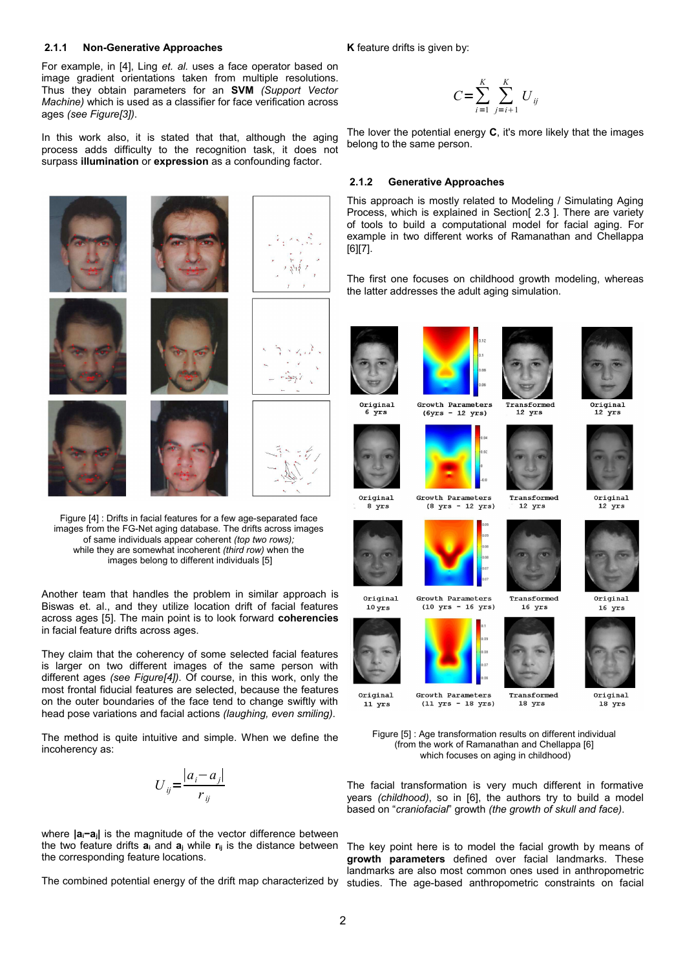#### **2.1.1 Non-Generative Approaches**

For example, in [\[4\]](#page-3-1), Ling *et. al.* uses a face operator based on image gradient orientations taken from multiple resolutions. Thus they obtain parameters for an **SVM** *(Support Vector Machine)* which is used as a classifier for face verification across ages *(see Figure[\[3\]](#page-0-0))*.

In this work also, it is stated that that, although the aging process adds difficulty to the recognition task, it does not surpass **illumination** or **expression** as a confounding factor.



Figure [4] : Drifts in facial features for a few age-separated face images from the FG-Net aging database. The drifts across images of same individuals appear coherent *(top two rows);* while they are somewhat incoherent *(third row)* when the images belong to different individuals [\[5\]](#page-3-7)

<span id="page-1-0"></span>Another team that handles the problem in similar approach is Biswas et. al., and they utilize location drift of facial features across ages [\[5\]](#page-3-7). The main point is to look forward **coherencies** in facial feature drifts across ages.

They claim that the coherency of some selected facial features is larger on two different images of the same person with different ages *(see Figure[\[4\]](#page-1-0))*. Of course, in this work, only the most frontal fiducial features are selected, because the features on the outer boundaries of the face tend to change swiftly with head pose variations and facial actions *(laughing, even smiling)*.

The method is quite intuitive and simple. When we define the incoherency as:

$$
U_{ij} = \frac{|a_i - a_j|}{r_{ij}}
$$

where **|ai−aj|** is the magnitude of the vector difference between the two feature drifts  $a_i$  and  $a_j$  while  $r_{ij}$  is the distance between the corresponding feature locations.

**K** feature drifts is given by:

$$
C = \sum_{i=1}^{K} \sum_{j=i+1}^{K} U_{ij}
$$

The lover the potential energy **C**, it's more likely that the images belong to the same person.

#### <span id="page-1-1"></span> **2.1.2 Generative Approaches**

This approach is mostly related to Modeling / Simulating Aging Process, which is explained in Section[\[ 2.3 \]](#page-2-0). There are variety of tools to build a computational model for facial aging. For example in two different works of Ramanathan and Chellappa [\[6\]](#page-3-5)[\[7\]](#page-3-6).

The first one focuses on childhood growth modeling, whereas the latter addresses the adult aging simulation.



Original

8 yrs

 $10 \,\mathrm{yrs}$ 

 $11$  yrs





Growth Parameters  $(8 \text{ yrs} - 12 \text{ yrs})$ 



Growth Parameters  $(10 \text{ yrs} - 16 \text{ yrs})$ 









Transformed

 $12$  yrs

Transformed

 $16$  yrs

Original 18 yrs

Figure [5] : Age transformation results on different individual (from the work of Ramanathan and Chellappa [\[6\]](#page-3-5) which focuses on aging in childhood)

The facial transformation is very much different in formative years *(childhood)*, so in [\[6\]](#page-3-5), the authors try to build a model based on "*craniofacial*" growth *(the growth of skull and face)*.

The combined potential energy of the drift map characterized by studies. The age-based anthropometric constraints on facial The key point here is to model the facial growth by means of **growth parameters** defined over facial landmarks. These landmarks are also most common ones used in anthropometric







Original

 $12$  yrs

Original

 $16$  yrs

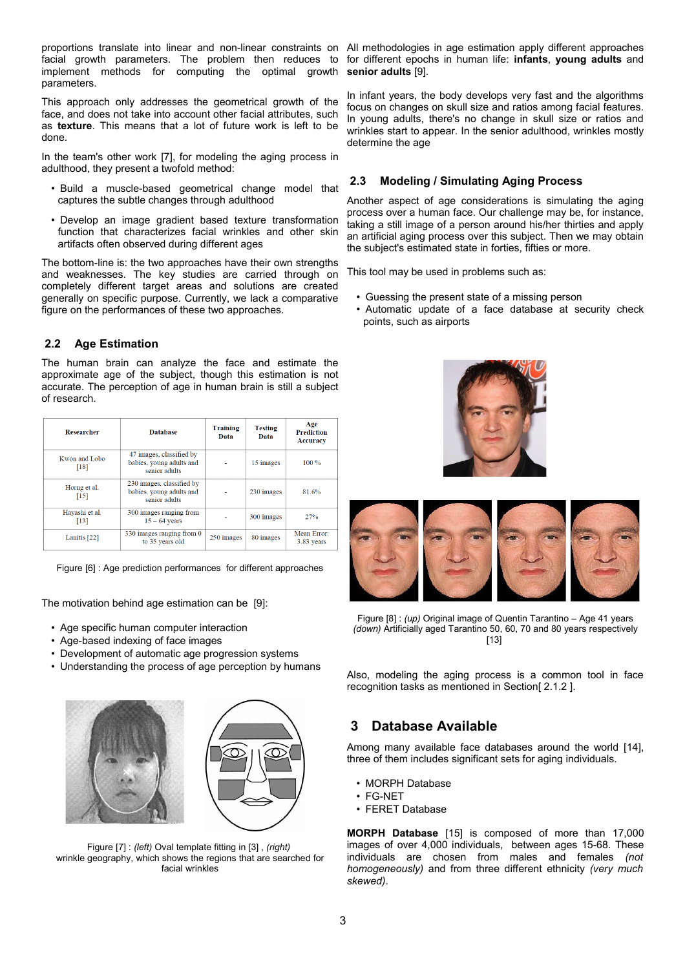proportions translate into linear and non-linear constraints on All methodologies in age estimation apply different approaches facial growth parameters. The problem then reduces to for different epochs in human life: **infants**, **young adults** and implement methods for computing the optimal growth parameters.

This approach only addresses the geometrical growth of the face, and does not take into account other facial attributes, such as **texture**. This means that a lot of future work is left to be done.

In the team's other work [\[7\]](#page-3-6), for modeling the aging process in adulthood, they present a twofold method:

- Build a muscle-based geometrical change model that captures the subtle changes through adulthood
- Develop an image gradient based texture transformation function that characterizes facial wrinkles and other skin artifacts often observed during different ages

The bottom-line is: the two approaches have their own strengths and weaknesses. The key studies are carried through on completely different target areas and solutions are created generally on specific purpose. Currently, we lack a comparative figure on the performances of these two approaches.

 **2.2 Age Estimation**

The human brain can analyze the face and estimate the approximate age of the subject, though this estimation is not accurate. The perception of age in human brain is still a subject of research.

| <b>Researcher</b>       | <b>Database</b>                                                        | <b>Training</b><br>Data | <b>Testing</b><br>Data | Age<br><b>Prediction</b><br><b>Accuracy</b> |
|-------------------------|------------------------------------------------------------------------|-------------------------|------------------------|---------------------------------------------|
| Kwon and Lobo<br>[18]   | 47 images, classified by<br>babies, young adults and<br>senior adults  |                         | 15 images              | $100\%$                                     |
| Horng et al.<br>$[15]$  | 230 images, classified by<br>babies, young adults and<br>senior adults |                         | 230 images             | 81.6%                                       |
| Hayashi et al.<br>[13]  | 300 images ranging from<br>$15 - 64$ years                             |                         | 300 images             | 27%                                         |
| Lanitis <sup>[22]</sup> | 330 images ranging from 0<br>to 35 years old                           | 250 images              | 80 images              | Mean Error:<br>3.83 years                   |

Figure [6] : Age prediction performances for different approaches

The motivation behind age estimation can be [\[9\]](#page-3-11):

- Age specific human computer interaction
- Age-based indexing of face images
- Development of automatic age progression systems
- Understanding the process of age perception by humans





Figure [7] : *(left)* Oval template fitting in [\[3\]](#page-3-12) , *(right)* wrinkle geography, which shows the regions that are searched for facial wrinkles

**senior adults** [\[9\]](#page-3-11).

In infant years, the body develops very fast and the algorithms focus on changes on skull size and ratios among facial features. In young adults, there's no change in skull size or ratios and wrinkles start to appear. In the senior adulthood, wrinkles mostly determine the age

### <span id="page-2-0"></span> **2.3 Modeling / Simulating Aging Process**

Another aspect of age considerations is simulating the aging process over a human face. Our challenge may be, for instance, taking a still image of a person around his/her thirties and apply an artificial aging process over this subject. Then we may obtain the subject's estimated state in forties, fifties or more.

This tool may be used in problems such as:

- Guessing the present state of a missing person
- Automatic update of a face database at security check points, such as airports





Figure [8] : *(up)* Original image of Quentin Tarantino – Age 41 years *(down)* Artificially aged Tarantino 50, 60, 70 and 80 years respectively [\[13\]](#page-3-10)

Also, modeling the aging process is a common tool in face recognition tasks as mentioned in Section[\[ 2.1.2 \]](#page-1-1).

# **3 Database Available**

Among many available face databases around the world [\[14\]](#page-3-9), three of them includes significant sets for aging individuals.

- MORPH Database
- FG-NET
- FERET Database

**MORPH Database** [\[15\]](#page-3-8) is composed of more than 17,000 images of over 4,000 individuals, between ages 15-68. These individuals are chosen from males and females *(not homogeneously)* and from three different ethnicity *(very much skewed)*.